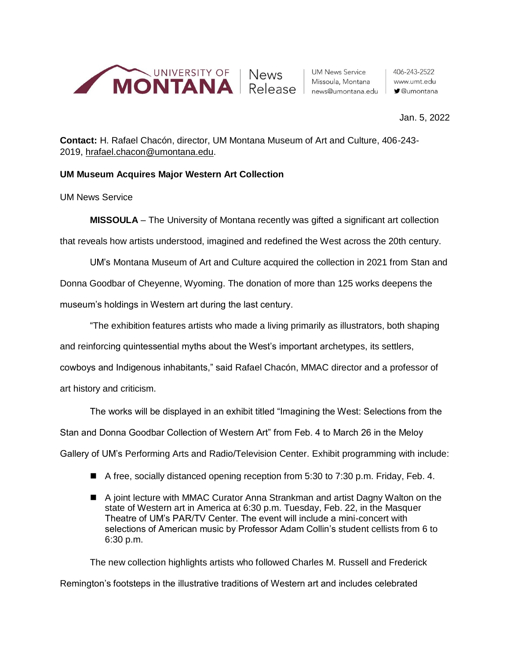

**UM News Service** Missoula, Montana news@umontana.edu

## Jan. 5, 2022

**Contact:** H. Rafael Chacón, director, UM Montana Museum of Art and Culture, 406-243- 2019, [hrafael.chacon@umontana.edu.](mailto:hrafael.chacon@umontana.edu)

## **UM Museum Acquires Major Western Art Collection**

UM News Service

**MISSOULA** – The University of Montana recently was gifted a significant art collection that reveals how artists understood, imagined and redefined the West across the 20th century.

UM's Montana Museum of Art and Culture acquired the collection in 2021 from Stan and Donna Goodbar of Cheyenne, Wyoming. The donation of more than 125 works deepens the museum's holdings in Western art during the last century.

"The exhibition features artists who made a living primarily as illustrators, both shaping and reinforcing quintessential myths about the West's important archetypes, its settlers, cowboys and Indigenous inhabitants," said Rafael Chacón, MMAC director and a professor of art history and criticism.

The works will be displayed in an exhibit titled "Imagining the West: Selections from the Stan and Donna Goodbar Collection of Western Art" from Feb. 4 to March 26 in the Meloy Gallery of UM's Performing Arts and Radio/Television Center. Exhibit programming with include:

- A free, socially distanced opening reception from 5:30 to 7:30 p.m. Friday, Feb. 4.
- A joint lecture with MMAC Curator Anna Strankman and artist Dagny Walton on the state of Western art in America at 6:30 p.m. Tuesday, Feb. 22, in the Masquer Theatre of UM's PAR/TV Center. The event will include a mini-concert with selections of American music by Professor Adam Collin's student cellists from 6 to 6:30 p.m.

The new collection highlights artists who followed Charles M. Russell and Frederick Remington's footsteps in the illustrative traditions of Western art and includes celebrated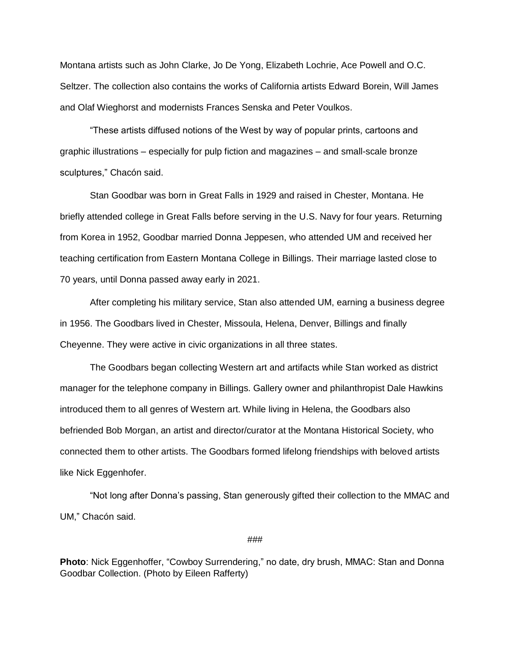Montana artists such as John Clarke, Jo De Yong, Elizabeth Lochrie, Ace Powell and O.C. Seltzer. The collection also contains the works of California artists Edward Borein, Will James and Olaf Wieghorst and modernists Frances Senska and Peter Voulkos.

"These artists diffused notions of the West by way of popular prints, cartoons and graphic illustrations – especially for pulp fiction and magazines – and small-scale bronze sculptures," Chacón said.

Stan Goodbar was born in Great Falls in 1929 and raised in Chester, Montana. He briefly attended college in Great Falls before serving in the U.S. Navy for four years. Returning from Korea in 1952, Goodbar married Donna Jeppesen, who attended UM and received her teaching certification from Eastern Montana College in Billings. Their marriage lasted close to 70 years, until Donna passed away early in 2021.

After completing his military service, Stan also attended UM, earning a business degree in 1956. The Goodbars lived in Chester, Missoula, Helena, Denver, Billings and finally Cheyenne. They were active in civic organizations in all three states.

The Goodbars began collecting Western art and artifacts while Stan worked as district manager for the telephone company in Billings. Gallery owner and philanthropist Dale Hawkins introduced them to all genres of Western art. While living in Helena, the Goodbars also befriended Bob Morgan, an artist and director/curator at the Montana Historical Society, who connected them to other artists. The Goodbars formed lifelong friendships with beloved artists like Nick Eggenhofer.

"Not long after Donna's passing, Stan generously gifted their collection to the MMAC and UM," Chacón said.

## ###

**Photo**: Nick Eggenhoffer, "Cowboy Surrendering," no date, dry brush, MMAC: Stan and Donna Goodbar Collection. (Photo by Eileen Rafferty)